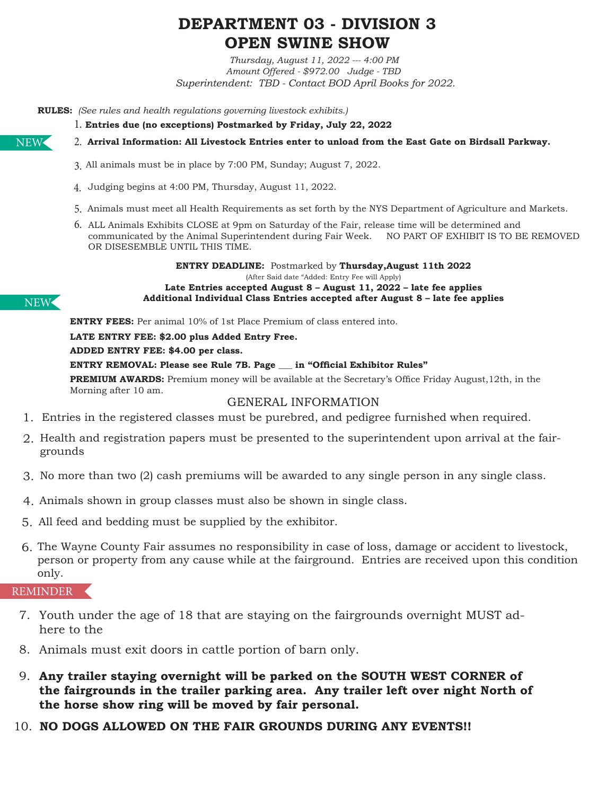# **DEPARTMENT 03 - DIVISION 3 OPEN SWINE SHOW**

*Thursday, August 11, 2022 --- 4:00 PM Amount Offered - \$972.00 Judge - TBD Superintendent: TBD - Contact BOD April Books for 2022.*

**RULES:** *(See rules and health regulations governing livestock exhibits.)* 

**Entries due (no exceptions) Postmarked by Friday, July 22, 2022** 1.

**Arrival Information: All Livestock Entries enter to unload from the East Gate on Birdsall Parkway.** 2.

- All animals must be in place by 7:00 PM, Sunday; August 7, 2022. 3.
- Judging begins at 4:00 PM, Thursday, August 11, 2022. 4.
- 5. Animals must meet all Health Requirements as set forth by the NYS Department of Agriculture and Markets.
- 6. ALL Animals Exhibits CLOSE at 9pm on Saturday of the Fair, release time will be determined and communicated by the Animal Superintendent during Fair Week. NO PART OF EXHIBIT IS TO BE REMOVED OR DISESEMBLE UNTIL THIS TIME.

**ENTRY DEADLINE:** Postmarked by **Thursday,August 11th 2022** (After Said date "Added: Entry Fee will Apply) **Late Entries accepted August 8 – August 11, 2022 – late fee applies Additional Individual Class Entries accepted after August 8 – late fee applies**

**ENTRY FEES:** Per animal 10% of 1st Place Premium of class entered into.

**LATE ENTRY FEE: \$2.00 plus Added Entry Free.**

**ADDED ENTRY FEE: \$4.00 per class.** 

**ENTRY REMOVAL: Please see Rule 7B. Page \_\_\_ in "Official Exhibitor Rules"**

**PREMIUM AWARDS:** Premium money will be available at the Secretary's Office Friday August,12th, in the Morning after 10 am.

#### GENERAL INFORMATION

- Entries in the registered classes must be purebred, and pedigree furnished when required. 1.
- 2. Health and registration papers must be presented to the superintendent upon arrival at the fairgrounds
- 3. No more than two (2) cash premiums will be awarded to any single person in any single class.
- Animals shown in group classes must also be shown in single class. 4.
- All feed and bedding must be supplied by the exhibitor. 5.
- The Wayne County Fair assumes no responsibility in case of loss, damage or accident to livestock, 6. person or property from any cause while at the fairground. Entries are received upon this condition only.

#### REMINDER

- 7. Youth under the age of 18 that are staying on the fairgrounds overnight MUST adhere to the
- 8. Animals must exit doors in cattle portion of barn only.
- 9. **Any trailer staying overnight will be parked on the SOUTH WEST CORNER of the fairgrounds in the trailer parking area. Any trailer left over night North of the horse show ring will be moved by fair personal.**
- 10. **NO DOGS ALLOWED ON THE FAIR GROUNDS DURING ANY EVENTS!!**



NEW